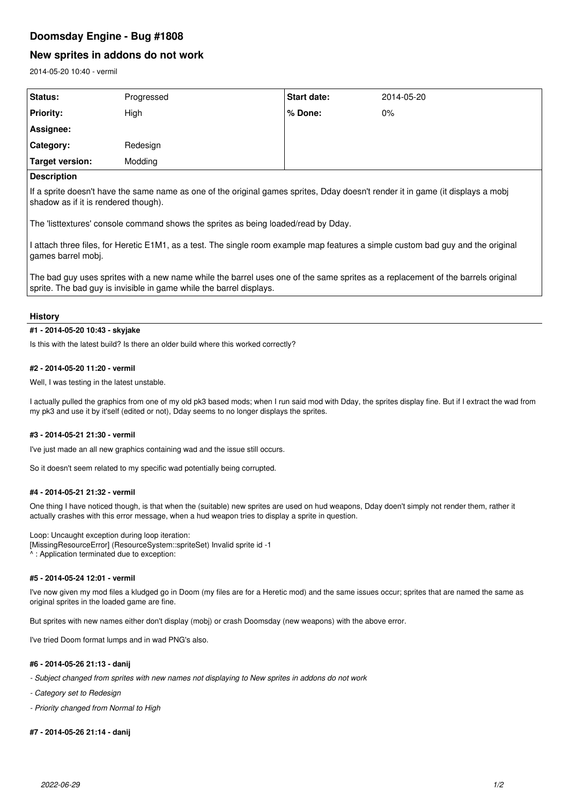# **Doomsday Engine - Bug #1808**

# **New sprites in addons do not work**

2014-05-20 10:40 - vermil

| Status:            | Progressed | <b>Start date:</b> | 2014-05-20 |
|--------------------|------------|--------------------|------------|
| <b>Priority:</b>   | High       | % Done:            | 0%         |
| Assignee:          |            |                    |            |
| Category:          | Redesign   |                    |            |
| Target version:    | Modding    |                    |            |
| <b>Description</b> |            |                    |            |

## **Description**

If a sprite doesn't have the same name as one of the original games sprites, Dday doesn't render it in game (it displays a mobj shadow as if it is rendered though).

The 'listtextures' console command shows the sprites as being loaded/read by Dday.

I attach three files, for Heretic E1M1, as a test. The single room example map features a simple custom bad guy and the original games barrel mobj.

The bad guy uses sprites with a new name while the barrel uses one of the same sprites as a replacement of the barrels original sprite. The bad guy is invisible in game while the barrel displays.

## **History**

## **#1 - 2014-05-20 10:43 - skyjake**

Is this with the latest build? Is there an older build where this worked correctly?

## **#2 - 2014-05-20 11:20 - vermil**

Well, I was testing in the latest unstable.

I actually pulled the graphics from one of my old pk3 based mods; when I run said mod with Dday, the sprites display fine. But if I extract the wad from my pk3 and use it by it'self (edited or not), Dday seems to no longer displays the sprites.

## **#3 - 2014-05-21 21:30 - vermil**

I've just made an all new graphics containing wad and the issue still occurs.

So it doesn't seem related to my specific wad potentially being corrupted.

## **#4 - 2014-05-21 21:32 - vermil**

One thing I have noticed though, is that when the (suitable) new sprites are used on hud weapons, Dday doen't simply not render them, rather it actually crashes with this error message, when a hud weapon tries to display a sprite in question.

#### Loop: Uncaught exception during loop iteration:

[MissingResourceError] (ResourceSystem::spriteSet) Invalid sprite id -1 ^ : Application terminated due to exception:

#### **#5 - 2014-05-24 12:01 - vermil**

I've now given my mod files a kludged go in Doom (my files are for a Heretic mod) and the same issues occur; sprites that are named the same as original sprites in the loaded game are fine.

But sprites with new names either don't display (mobj) or crash Doomsday (new weapons) with the above error.

I've tried Doom format lumps and in wad PNG's also.

## **#6 - 2014-05-26 21:13 - danij**

- *Subject changed from sprites with new names not displaying to New sprites in addons do not work*
- *Category set to Redesign*
- *Priority changed from Normal to High*

#### **#7 - 2014-05-26 21:14 - danij**